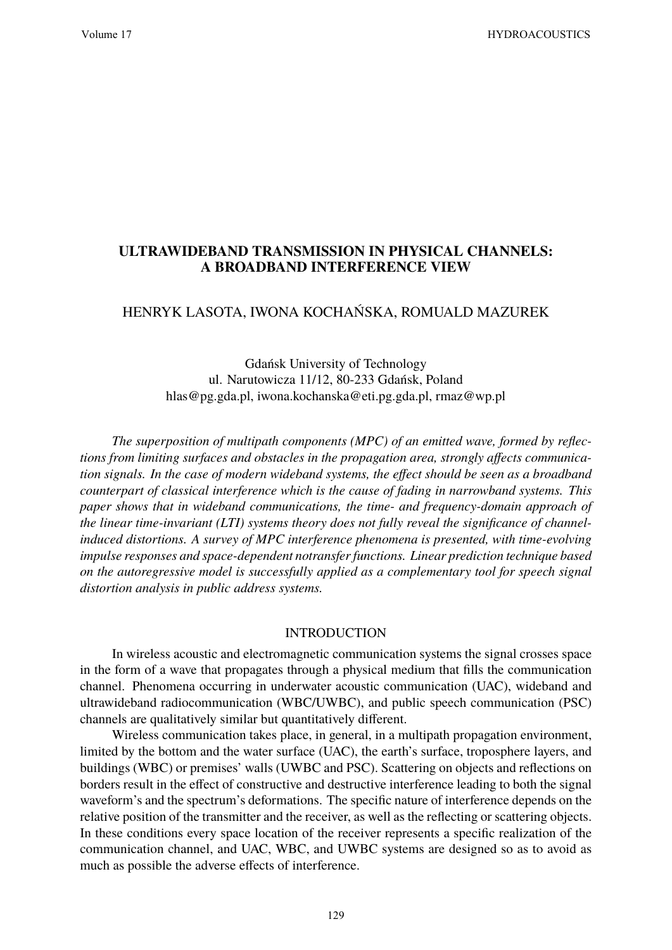# **ULTRAWIDEBAND TRANSMISSION IN PHYSICAL CHANNELS: A BROADBAND INTERFERENCE VIEW**

## HENRYK LASOTA, IWONA KOCHAŃSKA, ROMUALD MAZUREK

Gdańsk University of Technology ul. Narutowicza 11/12, 80-233 Gdańsk, Poland hlas@pg.gda.pl, iwona.kochanska@eti.pg.gda.pl, rmaz@wp.pl

*The superposition of multipath components (MPC) of an emitted wave, formed by reflections from limiting surfaces and obstacles in the propagation area, strongly affects communication signals. In the case of modern wideband systems, the effect should be seen as a broadband counterpart of classical interference which is the cause of fading in narrowband systems. This paper shows that in wideband communications, the time- and frequency-domain approach of the linear time-invariant (LTI) systems theory does not fully reveal the significance of channelinduced distortions. A survey of MPC interference phenomena is presented, with time-evolving impulse responses and space-dependent notransfer functions. Linear prediction technique based on the autoregressive model is successfully applied as a complementary tool for speech signal distortion analysis in public address systems.*

#### INTRODUCTION

In wireless acoustic and electromagnetic communication systems the signal crosses space in the form of a wave that propagates through a physical medium that fills the communication channel. Phenomena occurring in underwater acoustic communication (UAC), wideband and ultrawideband radiocommunication (WBC/UWBC), and public speech communication (PSC) channels are qualitatively similar but quantitatively different.

Wireless communication takes place, in general, in a multipath propagation environment, limited by the bottom and the water surface (UAC), the earth's surface, troposphere layers, and buildings (WBC) or premises' walls (UWBC and PSC). Scattering on objects and reflections on borders result in the effect of constructive and destructive interference leading to both the signal waveform's and the spectrum's deformations. The specific nature of interference depends on the relative position of the transmitter and the receiver, as well as the reflecting or scattering objects. In these conditions every space location of the receiver represents a specific realization of the communication channel, and UAC, WBC, and UWBC systems are designed so as to avoid as much as possible the adverse effects of interference.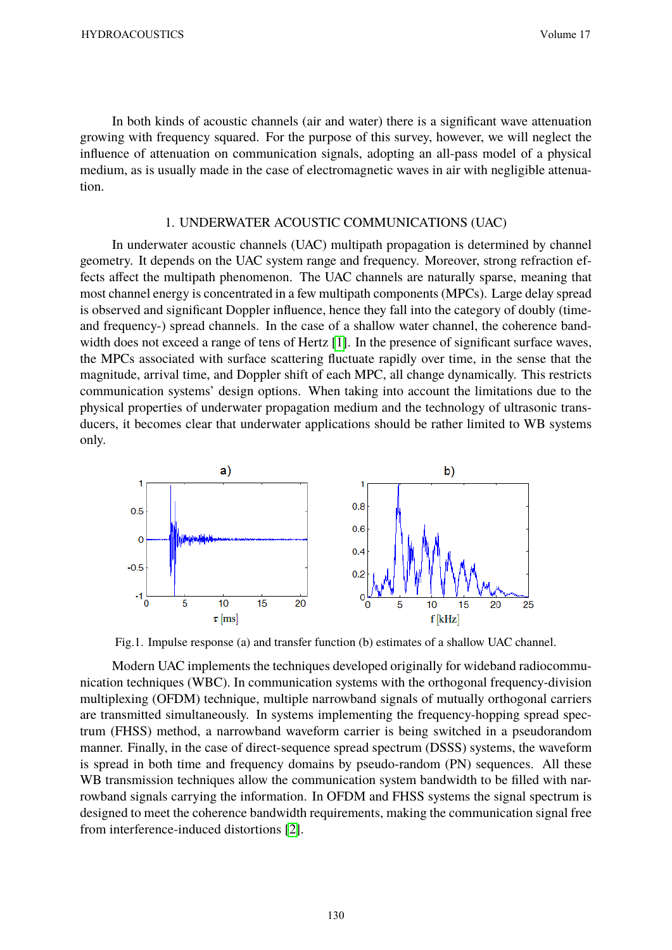In both kinds of acoustic channels (air and water) there is a significant wave attenuation growing with frequency squared. For the purpose of this survey, however, we will neglect the influence of attenuation on communication signals, adopting an all-pass model of a physical medium, as is usually made in the case of electromagnetic waves in air with negligible attenuation.

### 1. UNDERWATER ACOUSTIC COMMUNICATIONS (UAC)

In underwater acoustic channels (UAC) multipath propagation is determined by channel geometry. It depends on the UAC system range and frequency. Moreover, strong refraction effects affect the multipath phenomenon. The UAC channels are naturally sparse, meaning that most channel energy is concentrated in a few multipath components (MPCs). Large delay spread is observed and significant Doppler influence, hence they fall into the category of doubly (timeand frequency-) spread channels. In the case of a shallow water channel, the coherence bandwidth does not exceed a range of tens of Hertz [1]. In the presence of significant surface waves, the MPCs associated with surface scattering fluctuate rapidly over time, in the sense that the magnitude, arrival time, and Doppler shift of each MPC, all change dynamically. This restricts communication systems' design options. When taking into account the limitations due to the physical properties of underwater propagation medium and the technology of ultrasonic transducers, it becomes clear that underwater applications should be rather limited to WB systems only.



Fig.1. Impulse response (a) and transfer function (b) estimates of a shallow UAC channel.

Modern UAC implements the techniques developed originally for wideband radiocommunication techniques (WBC). In communication systems with the orthogonal frequency-division multiplexing (OFDM) technique, multiple narrowband signals of mutually orthogonal carriers are transmitted simultaneously. In systems implementing the frequency-hopping spread spectrum (FHSS) method, a narrowband waveform carrier is being switched in a pseudorandom manner. Finally, in the case of direct-sequence spread spectrum (DSSS) systems, the waveform is spread in both time and frequency domains by pseudo-random (PN) sequences. All these WB transmission techniques allow the communication system bandwidth to be filled with narrowband signals carrying the information. In OFDM and FHSS systems the signal spectrum is designed to meet the coherence bandwidth requirements, making the communication signal free from interference-induced distortions [2].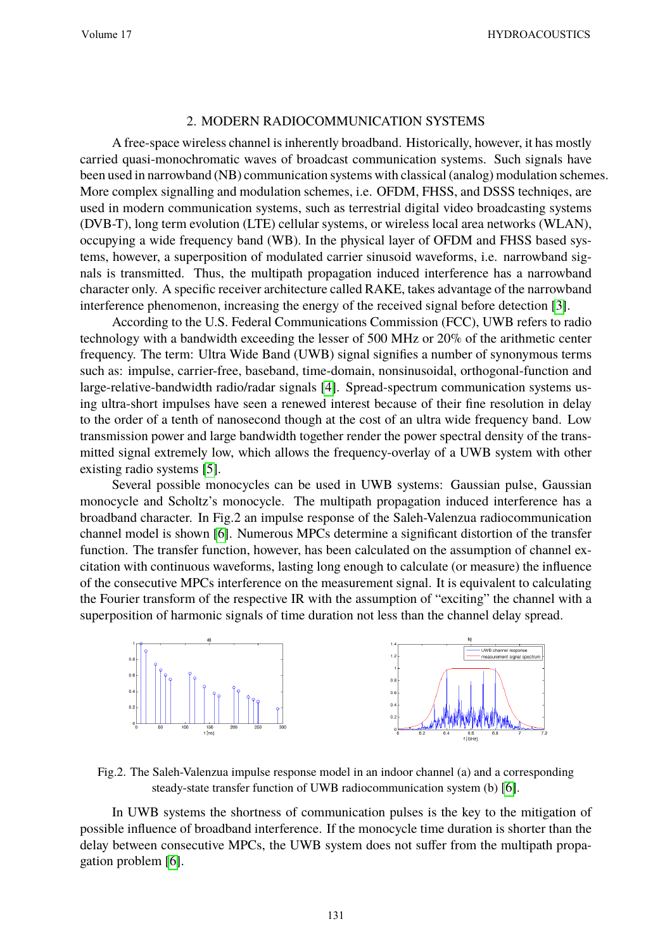## 2. MODERN RADIOCOMMUNICATION SYSTEMS

A free-space wireless channel is inherently broadband. Historically, however, it has mostly carried quasi-monochromatic waves of broadcast communication systems. Such signals have been used in narrowband (NB) communication systems with classical (analog) modulation schemes. More complex signalling and modulation schemes, i.e. OFDM, FHSS, and DSSS techniqes, are used in modern communication systems, such as terrestrial digital video broadcasting systems (DVB-T), long term evolution (LTE) cellular systems, or wireless local area networks (WLAN), occupying a wide frequency band (WB). In the physical layer of OFDM and FHSS based systems, however, a superposition of modulated carrier sinusoid waveforms, i.e. narrowband signals is transmitted. Thus, the multipath propagation induced interference has a narrowband character only. A specific receiver architecture called RAKE, takes advantage of the narrowband interference phenomenon, increasing the energy of the received signal before detection [3].

According to the U.S. Federal Communications Commission (FCC), UWB refers to radio technology with a bandwidth exceeding the lesser of 500 MHz or 20% of the arithmetic center frequency. The term: Ultra Wide Band (UWB) signal signifies a number of synonymous terms such as: impulse, carrier-free, baseband, time-domain, nonsinusoidal, orthogonal-function and large-relative-bandwidth radio/radar signals [4]. Spread-spectrum communication systems using ultra-short impulses have seen a renewed interest because of their fine resolution in delay to the order of a tenth of nanosecond though at the cost of an ultra wide frequency band. Low transmission power and large bandwidth together render the power spectral density of the transmitted signal extremely low, which allows the frequency-overlay of a UWB system with other existing radio systems [5].

Several possible monocycles can be used in UWB systems: Gaussian pulse, Gaussian monocycle and Scholtz's monocycle. The multipath propagation induced interference has a broadband character. In Fig.2 an impulse response of the Saleh-Valenzua radiocommunication channel model is shown [6]. Numerous MPCs determine a significant distortion of the transfer function. The transfer function, however, has been calculated on the assumption of channel excitation with continuous waveforms, lasting long enough to calculate (or measure) the influence of the consecutive MPCs interference on the measurement signal. It is equivalent to calculating the Fourier transform of the respective IR with the assumption of "exciting" the channel with a superposition of harmonic signals of time duration not less than the channel delay spread.



Fig.2. The Saleh-Valenzua impulse response model in an indoor channel (a) and a corresponding steady-state transfer function of UWB radiocommunication system (b) [6].

In UWB systems the shortness of communication pulses is the key to the mitigation of possible influence of broadband interference. If the monocycle time duration is shorter than the delay between consecutive MPCs, the UWB system does not suffer from the multipath propagation problem [6].

131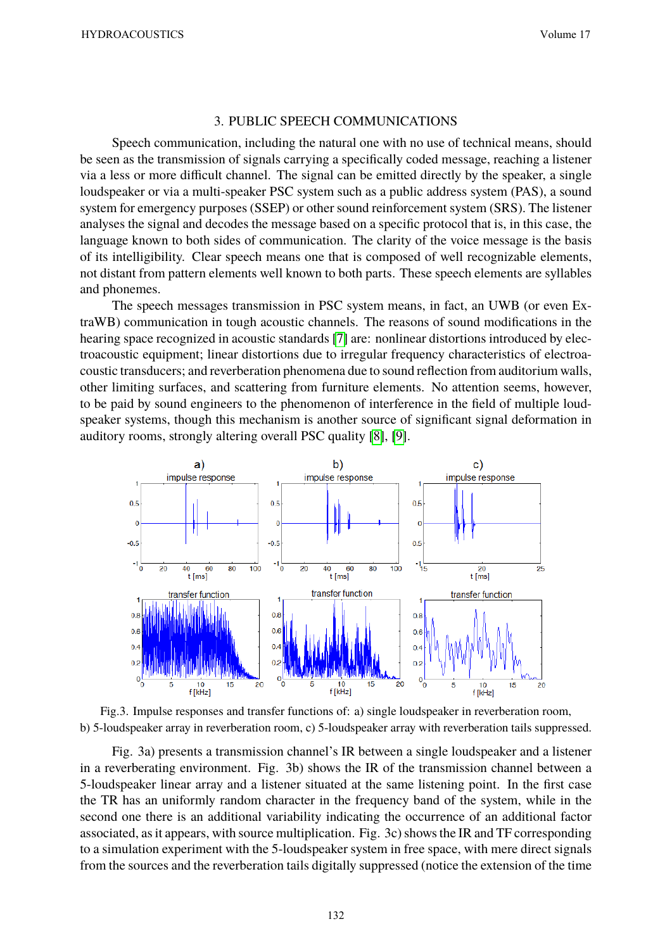#### 3. PUBLIC SPEECH COMMUNICATIONS

Speech communication, including the natural one with no use of technical means, should be seen as the transmission of signals carrying a specifically coded message, reaching a listener via a less or more difficult channel. The signal can be emitted directly by the speaker, a single loudspeaker or via a multi-speaker PSC system such as a public address system (PAS), a sound system for emergency purposes (SSEP) or other sound reinforcement system (SRS). The listener analyses the signal and decodes the message based on a specific protocol that is, in this case, the language known to both sides of communication. The clarity of the voice message is the basis of its intelligibility. Clear speech means one that is composed of well recognizable elements, not distant from pattern elements well known to both parts. These speech elements are syllables and phonemes.

The speech messages transmission in PSC system means, in fact, an UWB (or even ExtraWB) communication in tough acoustic channels. The reasons of sound modifications in the hearing space recognized in acoustic standards [7] are: nonlinear distortions introduced by electroacoustic equipment; linear distortions due to irregular frequency characteristics of electroacoustic transducers; and reverberation phenomena due to sound reflection from auditorium walls, other limiting surfaces, and scattering from furniture elements. No attention seems, however, to be paid by sound engineers to the phenomenon of interference in the field of multiple loudspeaker systems, though this mechanism is another source of significant signal deformation in auditory rooms, strongly altering overall PSC quality [8], [9].





Fig. 3a) presents a transmission channel's IR between a single loudspeaker and a listener in a reverberating environment. Fig. 3b) shows the IR of the transmission channel between a 5-loudspeaker linear array and a listener situated at the same listening point. In the first case the TR has an uniformly random character in the frequency band of the system, while in the second one there is an additional variability indicating the occurrence of an additional factor associated, as it appears, with source multiplication. Fig. 3c) shows the IR and TF corresponding to a simulation experiment with the 5-loudspeaker system in free space, with mere direct signals from the sources and the reverberation tails digitally suppressed (notice the extension of the time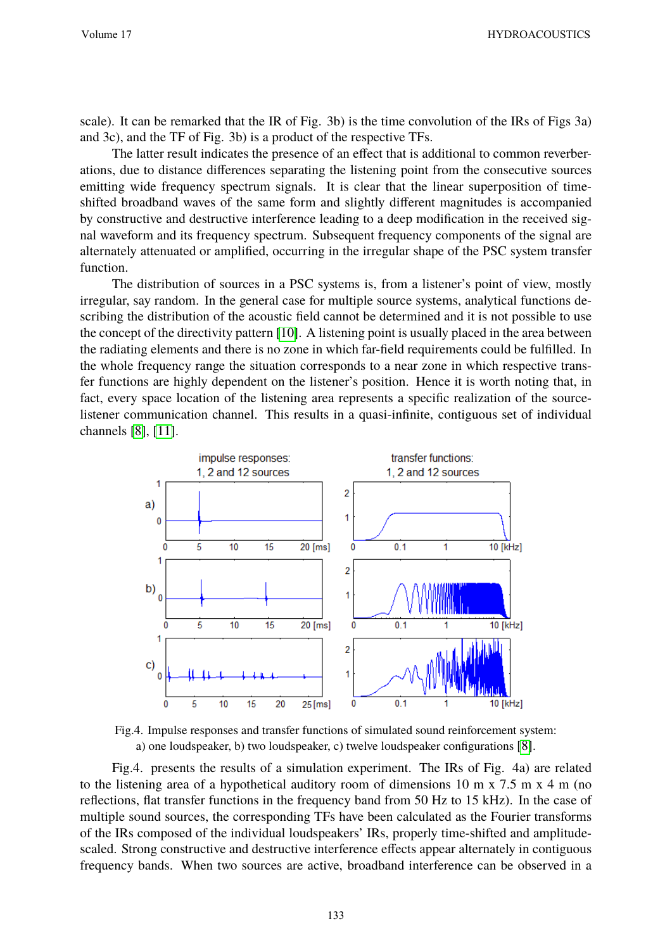Volume 17 HYDROACOUSTICS

scale). It can be remarked that the IR of Fig. 3b) is the time convolution of the IRs of Figs 3a) and 3c), and the TF of Fig. 3b) is a product of the respective TFs.

The latter result indicates the presence of an effect that is additional to common reverberations, due to distance differences separating the listening point from the consecutive sources emitting wide frequency spectrum signals. It is clear that the linear superposition of timeshifted broadband waves of the same form and slightly different magnitudes is accompanied by constructive and destructive interference leading to a deep modification in the received signal waveform and its frequency spectrum. Subsequent frequency components of the signal are alternately attenuated or amplified, occurring in the irregular shape of the PSC system transfer function.

The distribution of sources in a PSC systems is, from a listener's point of view, mostly irregular, say random. In the general case for multiple source systems, analytical functions describing the distribution of the acoustic field cannot be determined and it is not possible to use the concept of the directivity pattern [10]. A listening point is usually placed in the area between the radiating elements and there is no zone in which far-field requirements could be fulfilled. In the whole frequency range the situation corresponds to a near zone in which respective transfer functions are highly dependent on the listener's position. Hence it is worth noting that, in fact, every space location of the listening area represents a specific realization of the sourcelistener communication channel. This results in a quasi-infinite, contiguous set of individual channels [8], [11].



Fig.4. Impulse responses and transfer functions of simulated sound reinforcement system: a) one loudspeaker, b) two loudspeaker, c) twelve loudspeaker configurations [8].

Fig.4. presents the results of a simulation experiment. The IRs of Fig. 4a) are related to the listening area of a hypothetical auditory room of dimensions 10 m x 7.5 m x 4 m (no reflections, flat transfer functions in the frequency band from 50 Hz to 15 kHz). In the case of multiple sound sources, the corresponding TFs have been calculated as the Fourier transforms of the IRs composed of the individual loudspeakers' IRs, properly time-shifted and amplitudescaled. Strong constructive and destructive interference effects appear alternately in contiguous frequency bands. When two sources are active, broadband interference can be observed in a

133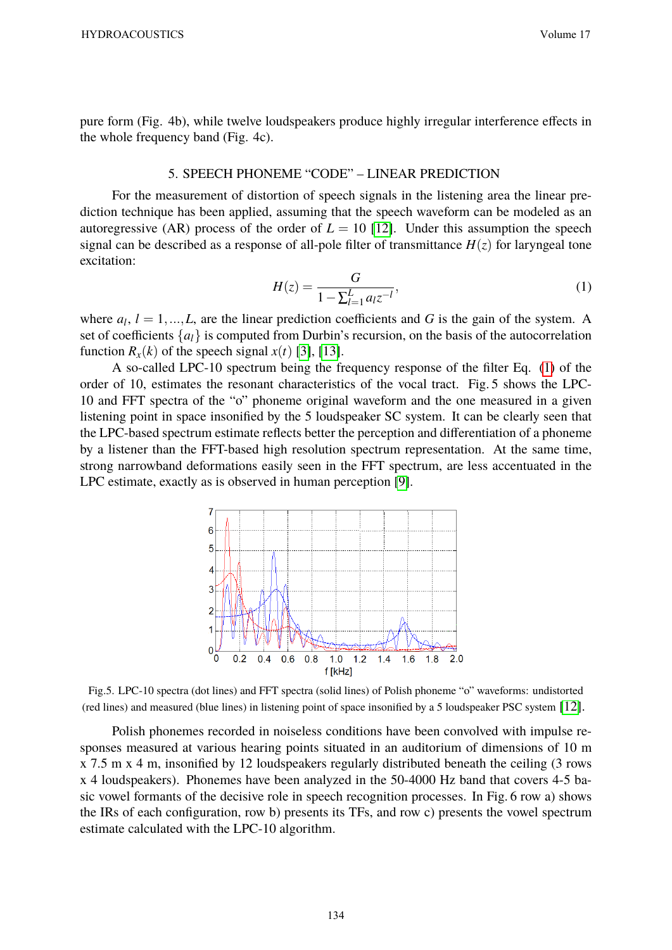pure form (Fig. 4b), while twelve loudspeakers produce highly irregular interference effects in the whole frequency band (Fig. 4c).

## 5. SPEECH PHONEME "CODE" – LINEAR PREDICTION

For the measurement of distortion of speech signals in the listening area the linear prediction technique has been applied, assuming that the speech waveform can be modeled as an autoregressive (AR) process of the order of  $L = 10$  [12]. Under this assumption the speech signal can be described as a response of all-pole filter of transmittance  $H(z)$  for laryngeal tone excitation:

$$
H(z) = \frac{G}{1 - \sum_{l=1}^{L} a_l z^{-l}},\tag{1}
$$

where  $a_l$ ,  $l = 1, ..., L$ , are the linear prediction coefficients and *G* is the gain of the system. A set of coefficients  $\{a_l\}$  is computed from Durbin's recursion, on the basis of the autocorrelation function  $R_x(k)$  of the speech signal  $x(t)$  [3], [13].

A so-called LPC-10 spectrum being the frequency response of the filter Eq. (1) of the order of 10, estimates the resonant characteristics of the vocal tract. Fig. 5 shows the LPC-10 and FFT spectra of the "o" phoneme original waveform and the one measured in a given listening point in space insonified by the 5 loudspeaker SC system. It can be clearly seen that the LPC-based spectrum estimate reflects better the perception and differentiation of a phoneme by a listener than the FFT-based high resolution spectrum representation. At the same time, strong narrowband deformations easily seen in the FFT spectrum, are less accentuated in the LPC estimate, exactly as is observed in human perception [9].



Fig.5. LPC-10 spectra (dot lines) and FFT spectra (solid lines) of Polish phoneme "o" waveforms: undistorted (red lines) and measured (blue lines) in listening point of space insonified by a 5 loudspeaker PSC system [12].

Polish phonemes recorded in noiseless conditions have been convolved with impulse responses measured at various hearing points situated in an auditorium of dimensions of 10 m x 7.5 m x 4 m, insonified by 12 loudspeakers regularly distributed beneath the ceiling (3 rows x 4 loudspeakers). Phonemes have been analyzed in the 50-4000 Hz band that covers 4-5 basic vowel formants of the decisive role in speech recognition processes. In Fig. 6 row a) shows the IRs of each configuration, row b) presents its TFs, and row c) presents the vowel spectrum estimate calculated with the LPC-10 algorithm.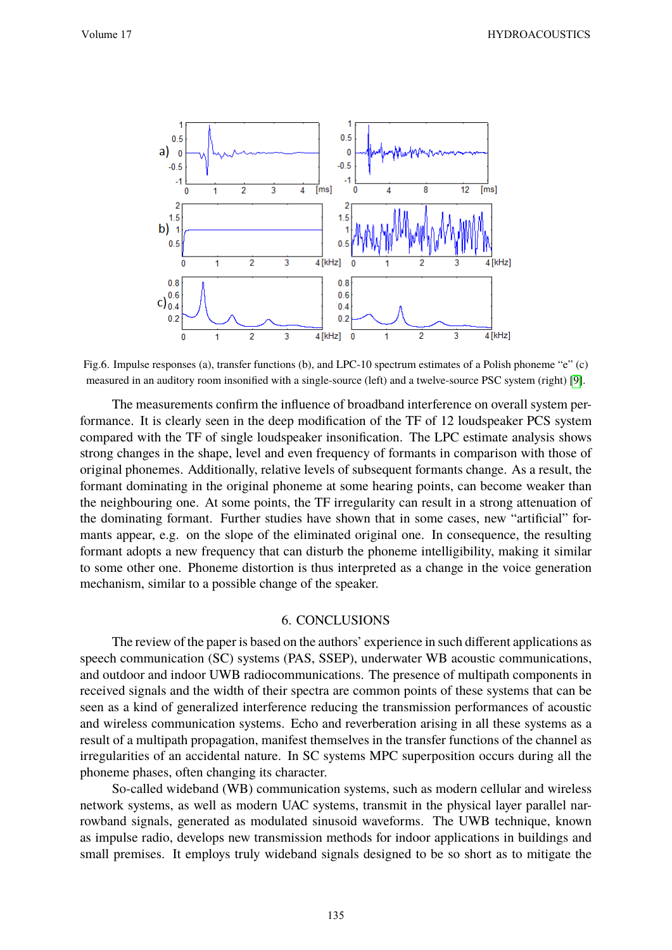

Fig.6. Impulse responses (a), transfer functions (b), and LPC-10 spectrum estimates of a Polish phoneme "e" (c) measured in an auditory room insonified with a single-source (left) and a twelve-source PSC system (right) [9].

The measurements confirm the influence of broadband interference on overall system performance. It is clearly seen in the deep modification of the TF of 12 loudspeaker PCS system compared with the TF of single loudspeaker insonification. The LPC estimate analysis shows strong changes in the shape, level and even frequency of formants in comparison with those of original phonemes. Additionally, relative levels of subsequent formants change. As a result, the formant dominating in the original phoneme at some hearing points, can become weaker than the neighbouring one. At some points, the TF irregularity can result in a strong attenuation of the dominating formant. Further studies have shown that in some cases, new "artificial" formants appear, e.g. on the slope of the eliminated original one. In consequence, the resulting formant adopts a new frequency that can disturb the phoneme intelligibility, making it similar to some other one. Phoneme distortion is thus interpreted as a change in the voice generation mechanism, similar to a possible change of the speaker.

#### 6. CONCLUSIONS

The review of the paper is based on the authors' experience in such different applications as speech communication (SC) systems (PAS, SSEP), underwater WB acoustic communications, and outdoor and indoor UWB radiocommunications. The presence of multipath components in received signals and the width of their spectra are common points of these systems that can be seen as a kind of generalized interference reducing the transmission performances of acoustic and wireless communication systems. Echo and reverberation arising in all these systems as a result of a multipath propagation, manifest themselves in the transfer functions of the channel as irregularities of an accidental nature. In SC systems MPC superposition occurs during all the phoneme phases, often changing its character.

So-called wideband (WB) communication systems, such as modern cellular and wireless network systems, as well as modern UAC systems, transmit in the physical layer parallel narrowband signals, generated as modulated sinusoid waveforms. The UWB technique, known as impulse radio, develops new transmission methods for indoor applications in buildings and small premises. It employs truly wideband signals designed to be so short as to mitigate the